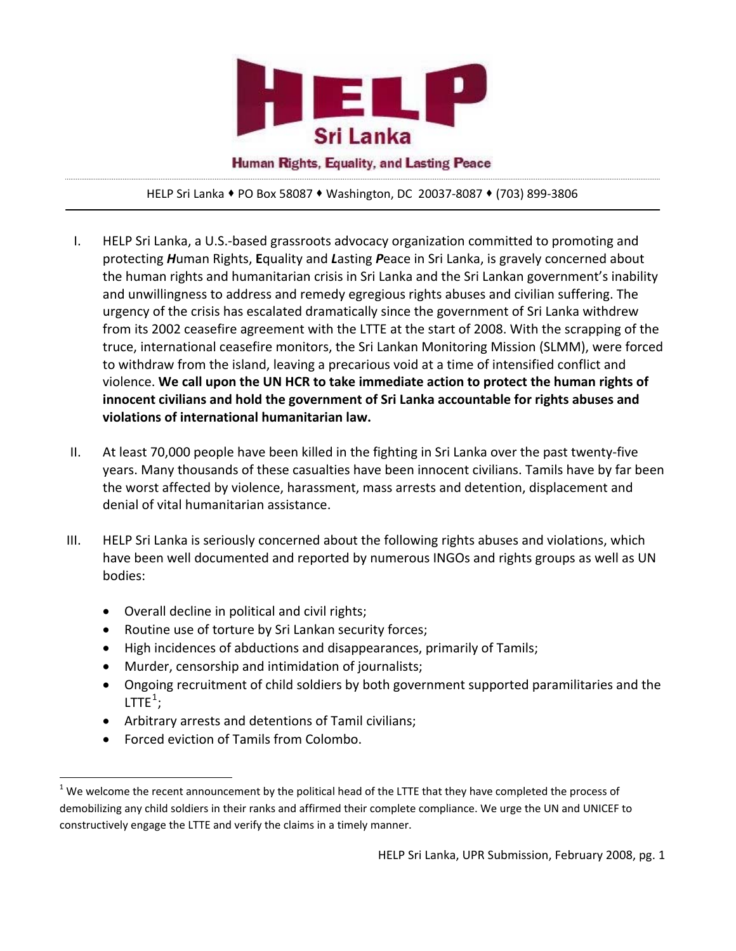

Human Rights, Equality, and Lasting Peace

HELP Sri Lanka PO Box 58087 Washington, DC 20037‐8087 (703) 899‐3806

- I. HELP Sri Lanka, a U.S.‐based grassroots advocacy organization committed to promoting and protecting *H*uman Rights, **E**quality and *L*asting *P*eace in Sri Lanka, is gravely concerned about the human rights and humanitarian crisis in Sri Lanka and the Sri Lankan government's inability and unwillingness to address and remedy egregious rights abuses and civilian suffering. The urgency of the crisis has escalated dramatically since the government of Sri Lanka withdrew from its 2002 ceasefire agreement with the LTTE at the start of 2008. With the scrapping of the truce, international ceasefire monitors, the Sri Lankan Monitoring Mission (SLMM), were forced to withdraw from the island, leaving a precarious void at a time of intensified conflict and violence. **We call upon the UN HCR to take immediate action to protect the human rights of innocent civilians and hold the government of Sri Lanka accountable for rights abuses and violations of international humanitarian law.**
- II. At least 70,000 people have been killed in the fighting in Sri Lanka over the past twenty‐five years. Many thousands of these casualties have been innocent civilians. Tamils have by far been the worst affected by violence, harassment, mass arrests and detention, displacement and denial of vital humanitarian assistance.
- III. HELP Sri Lanka is seriously concerned about the following rights abuses and violations, which have been well documented and reported by numerous INGOs and rights groups as well as UN bodies:
	- Overall decline in political and civil rights;
	- Routine use of torture by Sri Lankan security forces;
	- High incidences of abductions and disappearances, primarily of Tamils;
	- Murder, censorship and intimidation of journalists;
	- Ongoing recruitment of child soldiers by both government supported paramilitaries and the LTTE $^1$  $^1$ ;
	- Arbitrary arrests and detentions of Tamil civilians;
	- Forced eviction of Tamils from Colombo.

<span id="page-0-0"></span>  $1$  We welcome the recent announcement by the political head of the LTTE that they have completed the process of demobilizing any child soldiers in their ranks and affirmed their complete compliance. We urge the UN and UNICEF to constructively engage the LTTE and verify the claims in a timely manner.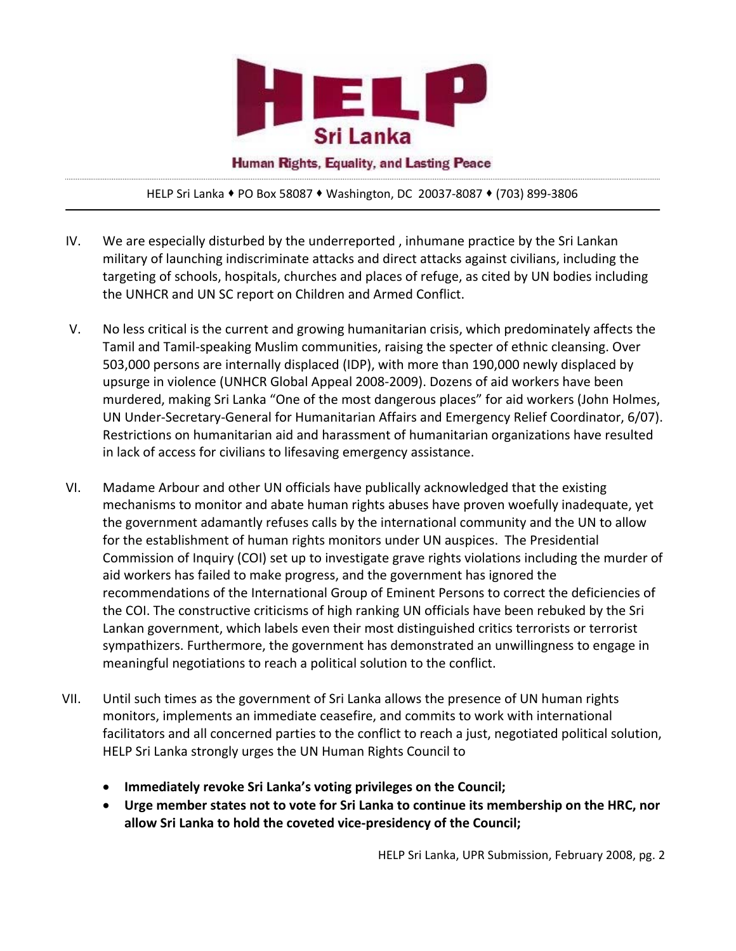

Human Rights, Equality, and Lasting Peace

HELP Sri Lanka PO Box 58087 Washington, DC 20037‐8087 (703) 899‐3806

- IV. We are especially disturbed by the underreported , inhumane practice by the Sri Lankan military of launching indiscriminate attacks and direct attacks against civilians, including the targeting of schools, hospitals, churches and places of refuge, as cited by UN bodies including the UNHCR and UN SC report on Children and Armed Conflict.
- V. No less critical is the current and growing humanitarian crisis, which predominately affects the Tamil and Tamil‐speaking Muslim communities, raising the specter of ethnic cleansing. Over 503,000 persons are internally displaced (IDP), with more than 190,000 newly displaced by upsurge in violence (UNHCR Global Appeal 2008‐2009). Dozens of aid workers have been murdered, making Sri Lanka "One of the most dangerous places" for aid workers (John Holmes, UN Under‐Secretary‐General for Humanitarian Affairs and Emergency Relief Coordinator, 6/07). Restrictions on humanitarian aid and harassment of humanitarian organizations have resulted in lack of access for civilians to lifesaving emergency assistance.
- VI. Madame Arbour and other UN officials have publically acknowledged that the existing mechanisms to monitor and abate human rights abuses have proven woefully inadequate, yet the government adamantly refuses calls by the international community and the UN to allow for the establishment of human rights monitors under UN auspices. The Presidential Commission of Inquiry (COI) set up to investigate grave rights violations including the murder of aid workers has failed to make progress, and the government has ignored the recommendations of the International Group of Eminent Persons to correct the deficiencies of the COI. The constructive criticisms of high ranking UN officials have been rebuked by the Sri Lankan government, which labels even their most distinguished critics terrorists or terrorist sympathizers. Furthermore, the government has demonstrated an unwillingness to engage in meaningful negotiations to reach a political solution to the conflict.
- VII. Until such times as the government of Sri Lanka allows the presence of UN human rights monitors, implements an immediate ceasefire, and commits to work with international facilitators and all concerned parties to the conflict to reach a just, negotiated political solution, HELP Sri Lanka strongly urges the UN Human Rights Council to
	- **Immediately revoke Sri Lanka's voting privileges on the Council;**
	- **Urge member states not to vote for Sri Lanka to continue its membership on the HRC, nor allow Sri Lanka to hold the coveted vice‐presidency of the Council;**